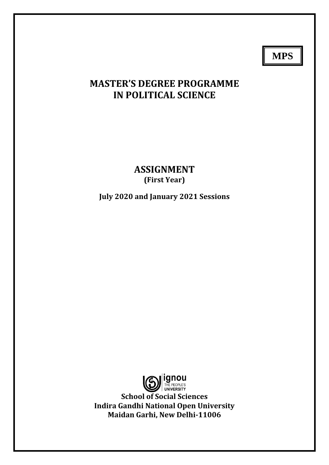**MPS**

# **MASTER'S DEGREE PROGRAMME IN POLITICAL SCIENCE**

**ASSIGNMENT (First Year)**

**July 2020 and January 2021 Sessions**

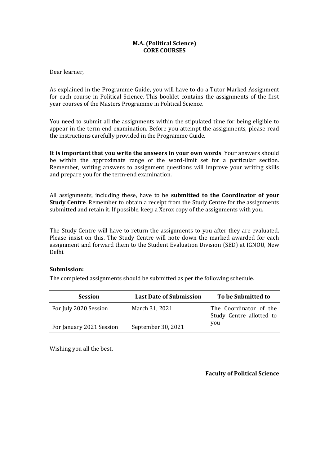## **M.A. (Political Science) CORE COURSES**

Dear learner,

As explained in the Programme Guide, you will have to do a Tutor Marked Assignment for each course in Political Science. This booklet contains the assignments of the first year courses of the Masters Programme in Political Science.

You need to submit all the assignments within the stipulated time for being eligible to appear in the term-end examination. Before you attempt the assignments, please read the instructions carefully provided in the Programme Guide.

**It is important that you write the answers in your own words**. Your answers should be within the approximate range of the word-limit set for a particular section. Remember, writing answers to assignment questions will improve your writing skills and prepare you for the term-end examination.

All assignments, including these, have to be **submitted to the Coordinator of your Study Centre**. Remember to obtain a receipt from the Study Centre for the assignments submitted and retain it. If possible, keep a Xerox copy of the assignments with you.

The Study Centre will have to return the assignments to you after they are evaluated. Please insist on this. The Study Centre will note down the marked awarded for each assignment and forward them to the Student Evaluation Division (SED) at IGNOU, New Delhi.

## **Submission:**

The completed assignments should be submitted as per the following schedule.

| <b>Session</b>           | <b>Last Date of Submission</b> | To be Submitted to                                        |
|--------------------------|--------------------------------|-----------------------------------------------------------|
| For July 2020 Session    | March 31, 2021                 | The Coordinator of the<br>Study Centre allotted to<br>you |
| For January 2021 Session | September 30, 2021             |                                                           |

Wishing you all the best,

**Faculty of Political Science**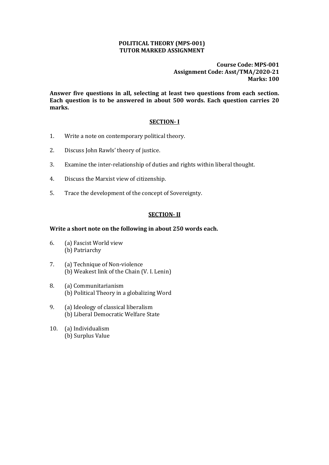#### **POLITICAL THEORY (MPS-001) TUTOR MARKED ASSIGNMENT**

**Course Code: MPS-001 Assignment Code: Asst/TMA/2020-21 Marks: 100**

**Answer five questions in all, selecting at least two questions from each section. Each question is to be answered in about 500 words. Each question carries 20 marks.** 

## **SECTION- I**

- 1. Write a note on contemporary political theory.
- 2. Discuss John Rawls' theory of justice.
- 3. Examine the inter-relationship of duties and rights within liberal thought.
- 4. Discuss the Marxist view of citizenship.
- 5. Trace the development of the concept of Sovereignty.

#### **SECTION- II**

#### **Write a short note on the following in about 250 words each.**

- 6. (a) Fascist World view (b) Patriarchy
- 7. (a) Technique of Non-violence (b) Weakest link of the Chain (V. I. Lenin)
- 8. (a) Communitarianism (b) Political Theory in a globalizing Word
- 9. (a) Ideology of classical liberalism (b) Liberal Democratic Welfare State
- 10. (a) Individualism (b) Surplus Value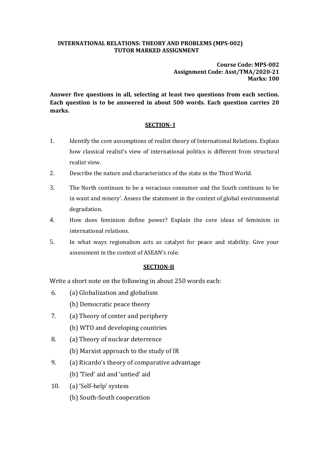#### **INTERNATIONAL RELATIONS: THEORY AND PROBLEMS (MPS-002) TUTOR MARKED ASSIGNMENT**

**Course Code: MPS-002 Assignment Code: Asst/TMA/2020-21 Marks: 100**

**Answer five questions in all, selecting at least two questions from each section. Each question is to be answered in about 500 words. Each question carries 20 marks.**

## **SECTION- I**

- 1. Identify the core assumptions of realist theory of International Relations. Explain how classical realist's view of international politics is different from structural realist view.
- 2. Describe the nature and characteristics of the state in the Third World.
- 3. The North continues to be a voracious consumer and the South continues to be in want and misery'. Assess the statement in the context of global environmental degradation.
- 4. How does feminism define power? Explain the core ideas of feminism in international relations.
- 5. In what ways regionalism acts as catalyst for peace and stability. Give your assessment in the context of ASEAN's role.

## **SECTION-II**

Write a short note on the following in about 250 words each:

- 6. (a) Globalization and globalism
	- (b) Democratic peace theory
- 7. (a) Theory of center and periphery
	- (b) WTO and developing countries
- 8. (a) Theory of nuclear deterrence
	- (b) Marxist approach to the study of IR
- 9. (a) Ricardo's theory of comparative advantage (b) 'Tied' aid and 'untied' aid
- 10. (a) 'Self-help' system

(b) South-South cooperation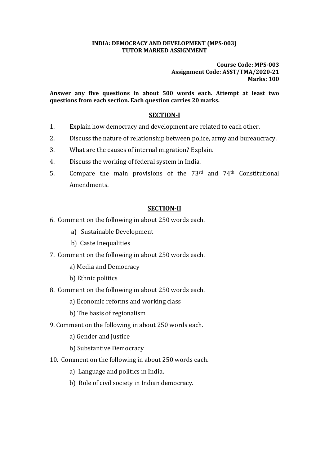#### **INDIA: DEMOCRACY AND DEVELOPMENT (MPS-003) TUTOR MARKED ASSIGNMENT**

**Course Code: MPS-003 Assignment Code: ASST/TMA/2020-21 Marks: 100**

**Answer any five questions in about 500 words each. Attempt at least two questions from each section. Each question carries 20 marks.**

# **SECTION-I**

- 1. Explain how democracy and development are related to each other.
- 2. Discuss the nature of relationship between police, army and bureaucracy.
- 3. What are the causes of internal migration? Explain.
- 4. Discuss the working of federal system in India.
- 5. Compare the main provisions of the 73rd and 74th Constitutional Amendments.

## **SECTION-II**

- 6. Comment on the following in about 250 words each.
	- a) Sustainable Development
	- b) Caste Inequalities
- 7. Comment on the following in about 250 words each.
	- a) Media and Democracy
	- b) Ethnic politics
- 8. Comment on the following in about 250 words each.
	- a) Economic reforms and working class
	- b) The basis of regionalism
- 9. Comment on the following in about 250 words each.
	- a) Gender and Justice
	- b) Substantive Democracy
- 10. Comment on the following in about 250 words each.
	- a) Language and politics in India.
	- b) Role of civil society in Indian democracy.